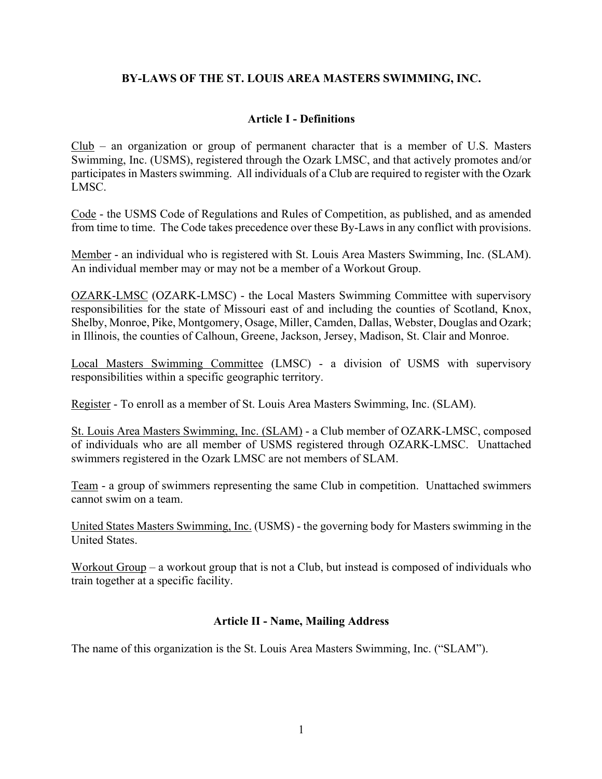# **BY-LAWS OF THE ST. LOUIS AREA MASTERS SWIMMING, INC.**

## **Article I - Definitions**

Club – an organization or group of permanent character that is a member of U.S. Masters Swimming, Inc. (USMS), registered through the Ozark LMSC, and that actively promotes and/or participates in Masters swimming. All individuals of a Club are required to register with the Ozark LMSC.

Code - the USMS Code of Regulations and Rules of Competition, as published, and as amended from time to time. The Code takes precedence over these By-Laws in any conflict with provisions.

Member - an individual who is registered with St. Louis Area Masters Swimming, Inc. (SLAM). An individual member may or may not be a member of a Workout Group.

OZARK-LMSC (OZARK-LMSC) - the Local Masters Swimming Committee with supervisory responsibilities for the state of Missouri east of and including the counties of Scotland, Knox, Shelby, Monroe, Pike, Montgomery, Osage, Miller, Camden, Dallas, Webster, Douglas and Ozark; in Illinois, the counties of Calhoun, Greene, Jackson, Jersey, Madison, St. Clair and Monroe.

Local Masters Swimming Committee (LMSC) - a division of USMS with supervisory responsibilities within a specific geographic territory.

Register - To enroll as a member of St. Louis Area Masters Swimming, Inc. (SLAM).

St. Louis Area Masters Swimming, Inc. (SLAM) - a Club member of OZARK-LMSC, composed of individuals who are all member of USMS registered through OZARK-LMSC. Unattached swimmers registered in the Ozark LMSC are not members of SLAM.

Team - a group of swimmers representing the same Club in competition. Unattached swimmers cannot swim on a team.

United States Masters Swimming, Inc. (USMS) - the governing body for Masters swimming in the United States.

Workout Group – a workout group that is not a Club, but instead is composed of individuals who train together at a specific facility.

## **Article II - Name, Mailing Address**

The name of this organization is the St. Louis Area Masters Swimming, Inc. ("SLAM").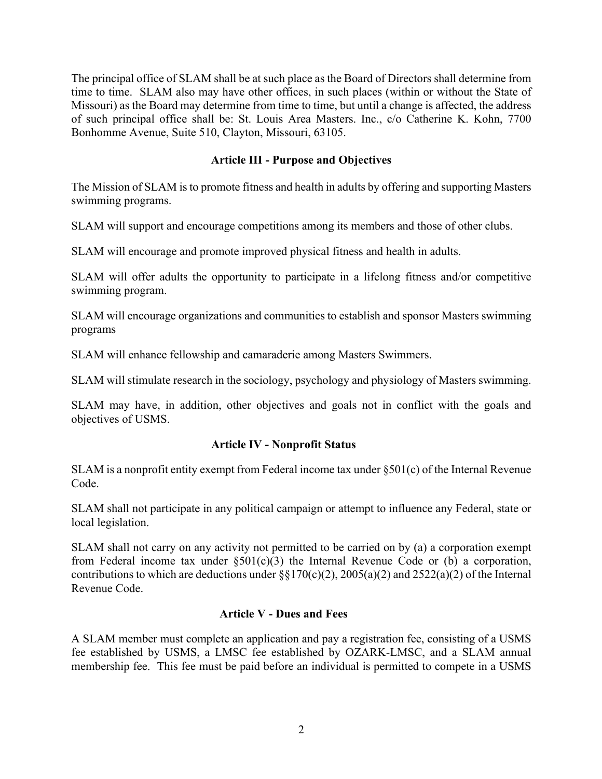The principal office of SLAM shall be at such place as the Board of Directors shall determine from time to time. SLAM also may have other offices, in such places (within or without the State of Missouri) as the Board may determine from time to time, but until a change is affected, the address of such principal office shall be: St. Louis Area Masters. Inc., c/o Catherine K. Kohn, 7700 Bonhomme Avenue, Suite 510, Clayton, Missouri, 63105.

# **Article III - Purpose and Objectives**

The Mission of SLAM is to promote fitness and health in adults by offering and supporting Masters swimming programs.

SLAM will support and encourage competitions among its members and those of other clubs.

SLAM will encourage and promote improved physical fitness and health in adults.

SLAM will offer adults the opportunity to participate in a lifelong fitness and/or competitive swimming program.

SLAM will encourage organizations and communities to establish and sponsor Masters swimming programs

SLAM will enhance fellowship and camaraderie among Masters Swimmers.

SLAM will stimulate research in the sociology, psychology and physiology of Masters swimming.

SLAM may have, in addition, other objectives and goals not in conflict with the goals and objectives of USMS.

## **Article IV - Nonprofit Status**

SLAM is a nonprofit entity exempt from Federal income tax under §501(c) of the Internal Revenue Code.

SLAM shall not participate in any political campaign or attempt to influence any Federal, state or local legislation.

SLAM shall not carry on any activity not permitted to be carried on by (a) a corporation exempt from Federal income tax under  $\S501(c)(3)$  the Internal Revenue Code or (b) a corporation, contributions to which are deductions under  $\S$  $170(c)(2)$ ,  $2005(a)(2)$  and  $2522(a)(2)$  of the Internal Revenue Code.

# **Article V - Dues and Fees**

A SLAM member must complete an application and pay a registration fee, consisting of a USMS fee established by USMS, a LMSC fee established by OZARK-LMSC, and a SLAM annual membership fee. This fee must be paid before an individual is permitted to compete in a USMS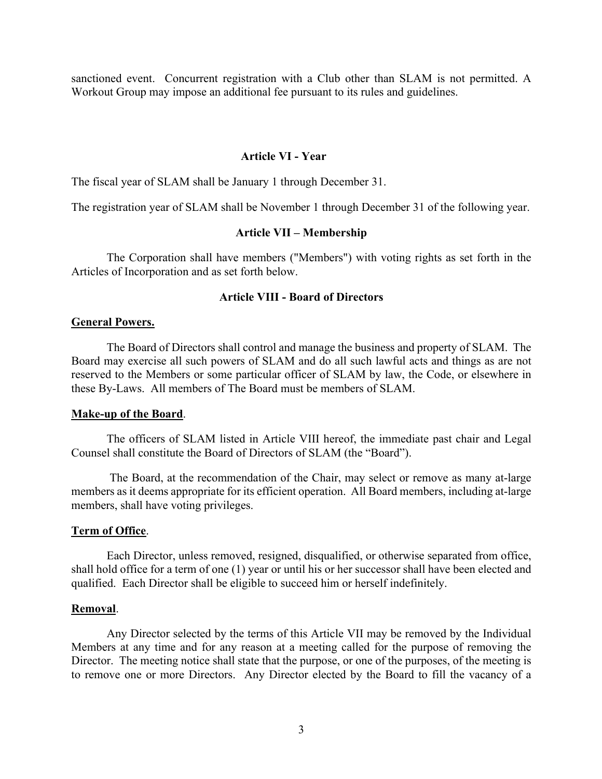sanctioned event. Concurrent registration with a Club other than SLAM is not permitted. A Workout Group may impose an additional fee pursuant to its rules and guidelines.

#### **Article VI - Year**

The fiscal year of SLAM shall be January 1 through December 31.

The registration year of SLAM shall be November 1 through December 31 of the following year.

#### **Article VII – Membership**

The Corporation shall have members ("Members") with voting rights as set forth in the Articles of Incorporation and as set forth below.

### **Article VIII - Board of Directors**

#### **General Powers.**

The Board of Directors shall control and manage the business and property of SLAM. The Board may exercise all such powers of SLAM and do all such lawful acts and things as are not reserved to the Members or some particular officer of SLAM by law, the Code, or elsewhere in these By-Laws. All members of The Board must be members of SLAM.

#### **Make-up of the Board**.

The officers of SLAM listed in Article VIII hereof, the immediate past chair and Legal Counsel shall constitute the Board of Directors of SLAM (the "Board").

The Board, at the recommendation of the Chair, may select or remove as many at-large members as it deems appropriate for its efficient operation. All Board members, including at-large members, shall have voting privileges.

#### **Term of Office**.

Each Director, unless removed, resigned, disqualified, or otherwise separated from office, shall hold office for a term of one (1) year or until his or her successor shall have been elected and qualified. Each Director shall be eligible to succeed him or herself indefinitely.

#### **Removal**.

Any Director selected by the terms of this Article VII may be removed by the Individual Members at any time and for any reason at a meeting called for the purpose of removing the Director. The meeting notice shall state that the purpose, or one of the purposes, of the meeting is to remove one or more Directors. Any Director elected by the Board to fill the vacancy of a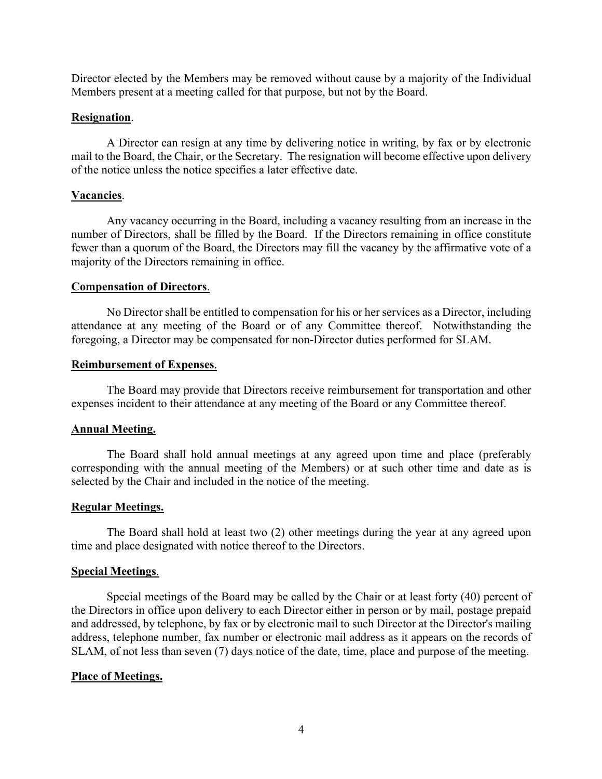Director elected by the Members may be removed without cause by a majority of the Individual Members present at a meeting called for that purpose, but not by the Board.

## **Resignation**.

A Director can resign at any time by delivering notice in writing, by fax or by electronic mail to the Board, the Chair, or the Secretary. The resignation will become effective upon delivery of the notice unless the notice specifies a later effective date.

## **Vacancies**.

Any vacancy occurring in the Board, including a vacancy resulting from an increase in the number of Directors, shall be filled by the Board. If the Directors remaining in office constitute fewer than a quorum of the Board, the Directors may fill the vacancy by the affirmative vote of a majority of the Directors remaining in office.

### **Compensation of Directors**.

No Director shall be entitled to compensation for his or her services as a Director, including attendance at any meeting of the Board or of any Committee thereof. Notwithstanding the foregoing, a Director may be compensated for non-Director duties performed for SLAM.

### **Reimbursement of Expenses**.

The Board may provide that Directors receive reimbursement for transportation and other expenses incident to their attendance at any meeting of the Board or any Committee thereof.

## **Annual Meeting.**

The Board shall hold annual meetings at any agreed upon time and place (preferably corresponding with the annual meeting of the Members) or at such other time and date as is selected by the Chair and included in the notice of the meeting.

## **Regular Meetings.**

The Board shall hold at least two (2) other meetings during the year at any agreed upon time and place designated with notice thereof to the Directors.

## **Special Meetings**.

Special meetings of the Board may be called by the Chair or at least forty (40) percent of the Directors in office upon delivery to each Director either in person or by mail, postage prepaid and addressed, by telephone, by fax or by electronic mail to such Director at the Director's mailing address, telephone number, fax number or electronic mail address as it appears on the records of SLAM, of not less than seven (7) days notice of the date, time, place and purpose of the meeting.

## **Place of Meetings.**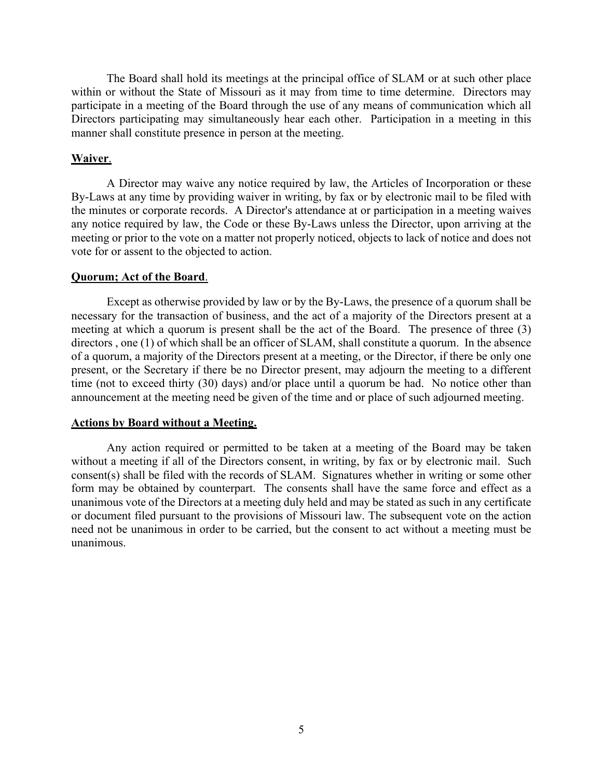The Board shall hold its meetings at the principal office of SLAM or at such other place within or without the State of Missouri as it may from time to time determine. Directors may participate in a meeting of the Board through the use of any means of communication which all Directors participating may simultaneously hear each other. Participation in a meeting in this manner shall constitute presence in person at the meeting.

## **Waiver**.

A Director may waive any notice required by law, the Articles of Incorporation or these By-Laws at any time by providing waiver in writing, by fax or by electronic mail to be filed with the minutes or corporate records. A Director's attendance at or participation in a meeting waives any notice required by law, the Code or these By-Laws unless the Director, upon arriving at the meeting or prior to the vote on a matter not properly noticed, objects to lack of notice and does not vote for or assent to the objected to action.

#### **Quorum; Act of the Board**.

Except as otherwise provided by law or by the By-Laws, the presence of a quorum shall be necessary for the transaction of business, and the act of a majority of the Directors present at a meeting at which a quorum is present shall be the act of the Board. The presence of three (3) directors, one (1) of which shall be an officer of SLAM, shall constitute a quorum. In the absence of a quorum, a majority of the Directors present at a meeting, or the Director, if there be only one present, or the Secretary if there be no Director present, may adjourn the meeting to a different time (not to exceed thirty (30) days) and/or place until a quorum be had. No notice other than announcement at the meeting need be given of the time and or place of such adjourned meeting.

#### **Actions by Board without a Meeting.**

Any action required or permitted to be taken at a meeting of the Board may be taken without a meeting if all of the Directors consent, in writing, by fax or by electronic mail. Such consent(s) shall be filed with the records of SLAM. Signatures whether in writing or some other form may be obtained by counterpart. The consents shall have the same force and effect as a unanimous vote of the Directors at a meeting duly held and may be stated as such in any certificate or document filed pursuant to the provisions of Missouri law. The subsequent vote on the action need not be unanimous in order to be carried, but the consent to act without a meeting must be unanimous.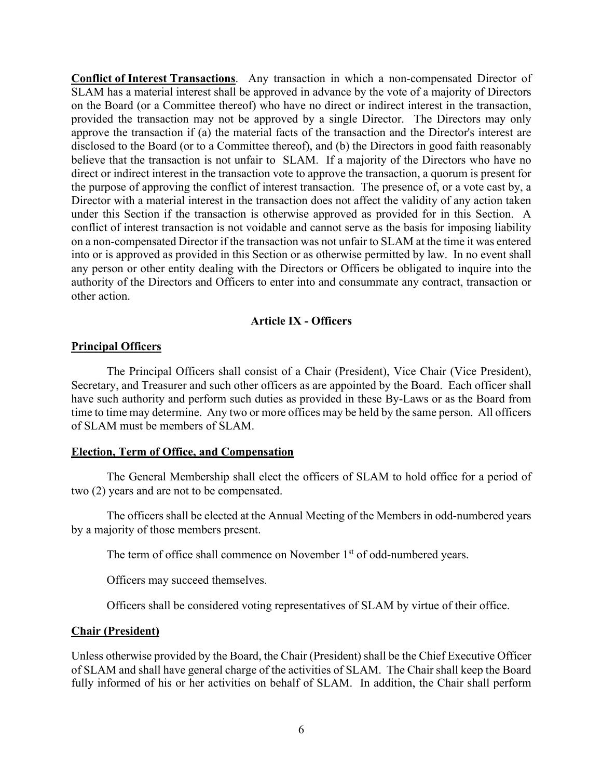**Conflict of Interest Transactions**. Any transaction in which a non-compensated Director of SLAM has a material interest shall be approved in advance by the vote of a majority of Directors on the Board (or a Committee thereof) who have no direct or indirect interest in the transaction, provided the transaction may not be approved by a single Director. The Directors may only approve the transaction if (a) the material facts of the transaction and the Director's interest are disclosed to the Board (or to a Committee thereof), and (b) the Directors in good faith reasonably believe that the transaction is not unfair to SLAM. If a majority of the Directors who have no direct or indirect interest in the transaction vote to approve the transaction, a quorum is present for the purpose of approving the conflict of interest transaction. The presence of, or a vote cast by, a Director with a material interest in the transaction does not affect the validity of any action taken under this Section if the transaction is otherwise approved as provided for in this Section. A conflict of interest transaction is not voidable and cannot serve as the basis for imposing liability on a non-compensated Director if the transaction was not unfair to SLAM at the time it was entered into or is approved as provided in this Section or as otherwise permitted by law. In no event shall any person or other entity dealing with the Directors or Officers be obligated to inquire into the authority of the Directors and Officers to enter into and consummate any contract, transaction or other action.

### **Article IX - Officers**

### **Principal Officers**

The Principal Officers shall consist of a Chair (President), Vice Chair (Vice President), Secretary, and Treasurer and such other officers as are appointed by the Board. Each officer shall have such authority and perform such duties as provided in these By-Laws or as the Board from time to time may determine. Any two or more offices may be held by the same person. All officers of SLAM must be members of SLAM.

### **Election, Term of Office, and Compensation**

The General Membership shall elect the officers of SLAM to hold office for a period of two (2) years and are not to be compensated.

The officers shall be elected at the Annual Meeting of the Members in odd-numbered years by a majority of those members present.

The term of office shall commence on November 1<sup>st</sup> of odd-numbered years.

Officers may succeed themselves.

Officers shall be considered voting representatives of SLAM by virtue of their office.

## **Chair (President)**

Unless otherwise provided by the Board, the Chair (President) shall be the Chief Executive Officer of SLAM and shall have general charge of the activities of SLAM. The Chair shall keep the Board fully informed of his or her activities on behalf of SLAM. In addition, the Chair shall perform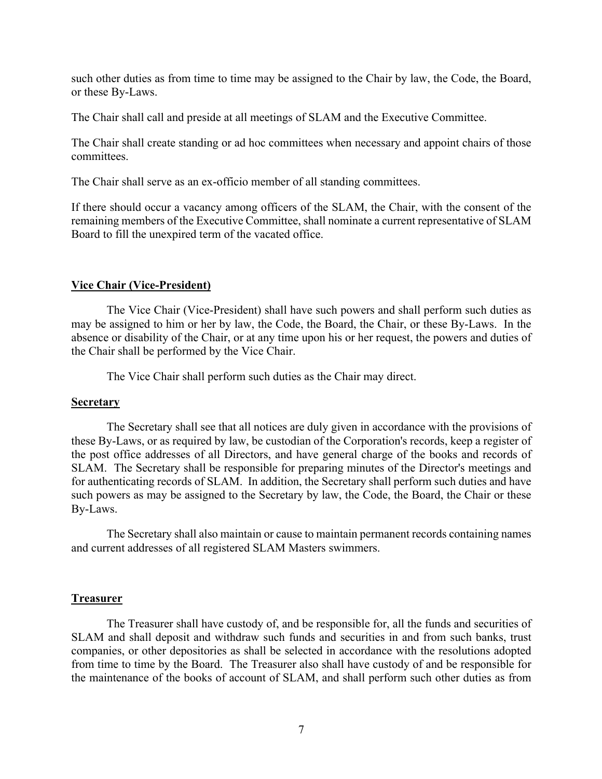such other duties as from time to time may be assigned to the Chair by law, the Code, the Board, or these By-Laws.

The Chair shall call and preside at all meetings of SLAM and the Executive Committee.

The Chair shall create standing or ad hoc committees when necessary and appoint chairs of those committees.

The Chair shall serve as an ex-officio member of all standing committees.

If there should occur a vacancy among officers of the SLAM, the Chair, with the consent of the remaining members of the Executive Committee, shall nominate a current representative of SLAM Board to fill the unexpired term of the vacated office.

## **Vice Chair (Vice-President)**

The Vice Chair (Vice-President) shall have such powers and shall perform such duties as may be assigned to him or her by law, the Code, the Board, the Chair, or these By-Laws. In the absence or disability of the Chair, or at any time upon his or her request, the powers and duties of the Chair shall be performed by the Vice Chair.

The Vice Chair shall perform such duties as the Chair may direct.

## **Secretary**

The Secretary shall see that all notices are duly given in accordance with the provisions of these By-Laws, or as required by law, be custodian of the Corporation's records, keep a register of the post office addresses of all Directors, and have general charge of the books and records of SLAM. The Secretary shall be responsible for preparing minutes of the Director's meetings and for authenticating records of SLAM. In addition, the Secretary shall perform such duties and have such powers as may be assigned to the Secretary by law, the Code, the Board, the Chair or these By-Laws.

The Secretary shall also maintain or cause to maintain permanent records containing names and current addresses of all registered SLAM Masters swimmers.

## **Treasurer**

The Treasurer shall have custody of, and be responsible for, all the funds and securities of SLAM and shall deposit and withdraw such funds and securities in and from such banks, trust companies, or other depositories as shall be selected in accordance with the resolutions adopted from time to time by the Board. The Treasurer also shall have custody of and be responsible for the maintenance of the books of account of SLAM, and shall perform such other duties as from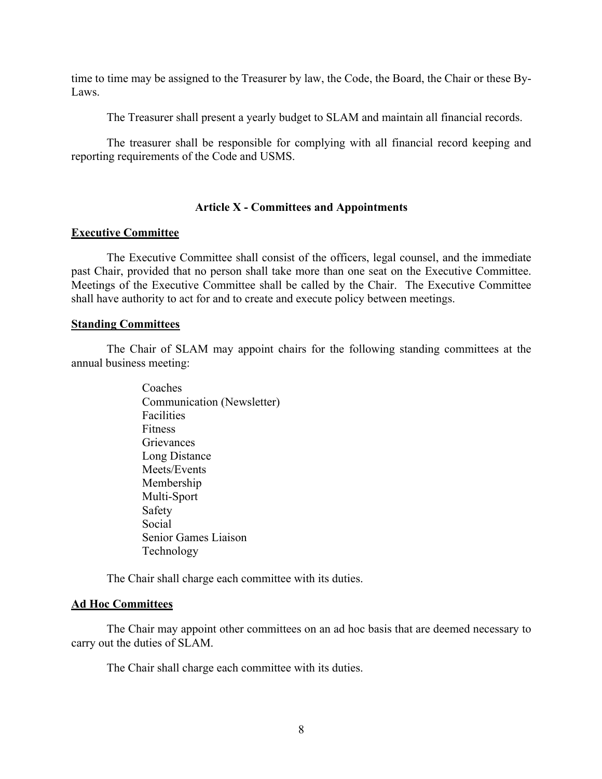time to time may be assigned to the Treasurer by law, the Code, the Board, the Chair or these By-Laws.

The Treasurer shall present a yearly budget to SLAM and maintain all financial records.

The treasurer shall be responsible for complying with all financial record keeping and reporting requirements of the Code and USMS.

### **Article X - Committees and Appointments**

### **Executive Committee**

The Executive Committee shall consist of the officers, legal counsel, and the immediate past Chair, provided that no person shall take more than one seat on the Executive Committee. Meetings of the Executive Committee shall be called by the Chair. The Executive Committee shall have authority to act for and to create and execute policy between meetings.

#### **Standing Committees**

The Chair of SLAM may appoint chairs for the following standing committees at the annual business meeting:

> Coaches Communication (Newsletter) Facilities Fitness **Grievances** Long Distance Meets/Events Membership Multi-Sport Safety Social Senior Games Liaison Technology

The Chair shall charge each committee with its duties.

#### **Ad Hoc Committees**

The Chair may appoint other committees on an ad hoc basis that are deemed necessary to carry out the duties of SLAM.

The Chair shall charge each committee with its duties.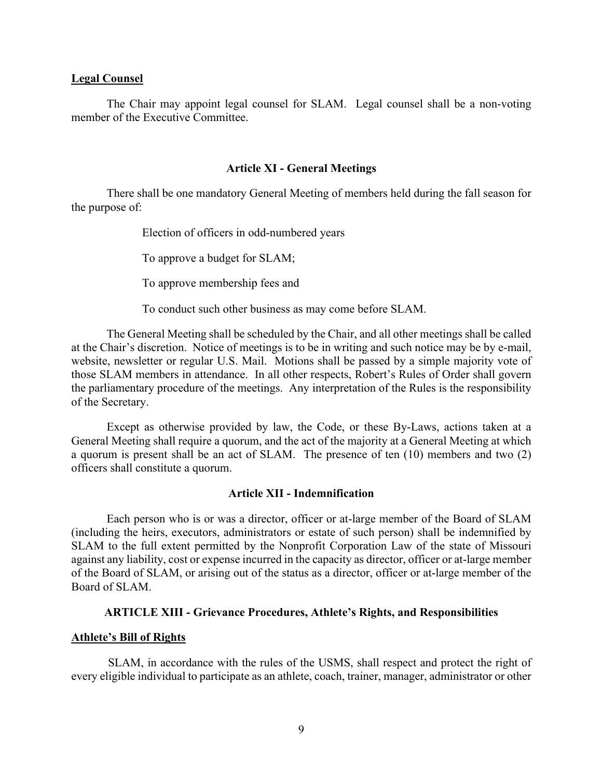#### **Legal Counsel**

The Chair may appoint legal counsel for SLAM. Legal counsel shall be a non-voting member of the Executive Committee.

#### **Article XI - General Meetings**

There shall be one mandatory General Meeting of members held during the fall season for the purpose of:

Election of officers in odd-numbered years

To approve a budget for SLAM;

To approve membership fees and

To conduct such other business as may come before SLAM.

The General Meeting shall be scheduled by the Chair, and all other meetings shall be called at the Chair's discretion. Notice of meetings is to be in writing and such notice may be by e-mail, website, newsletter or regular U.S. Mail. Motions shall be passed by a simple majority vote of those SLAM members in attendance. In all other respects, Robert's Rules of Order shall govern the parliamentary procedure of the meetings. Any interpretation of the Rules is the responsibility of the Secretary.

Except as otherwise provided by law, the Code, or these By-Laws, actions taken at a General Meeting shall require a quorum, and the act of the majority at a General Meeting at which a quorum is present shall be an act of SLAM. The presence of ten (10) members and two (2) officers shall constitute a quorum.

#### **Article XII - Indemnification**

Each person who is or was a director, officer or at-large member of the Board of SLAM (including the heirs, executors, administrators or estate of such person) shall be indemnified by SLAM to the full extent permitted by the Nonprofit Corporation Law of the state of Missouri against any liability, cost or expense incurred in the capacity as director, officer or at-large member of the Board of SLAM, or arising out of the status as a director, officer or at-large member of the Board of SLAM.

### **ARTICLE XIII - Grievance Procedures, Athlete's Rights, and Responsibilities**

### **Athlete's Bill of Rights**

SLAM, in accordance with the rules of the USMS, shall respect and protect the right of every eligible individual to participate as an athlete, coach, trainer, manager, administrator or other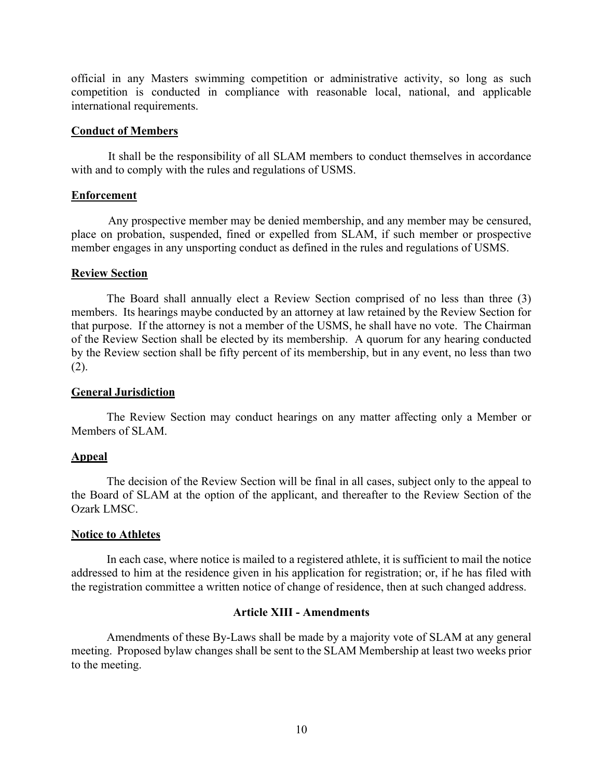official in any Masters swimming competition or administrative activity, so long as such competition is conducted in compliance with reasonable local, national, and applicable international requirements.

#### **Conduct of Members**

It shall be the responsibility of all SLAM members to conduct themselves in accordance with and to comply with the rules and regulations of USMS.

### **Enforcement**

Any prospective member may be denied membership, and any member may be censured, place on probation, suspended, fined or expelled from SLAM, if such member or prospective member engages in any unsporting conduct as defined in the rules and regulations of USMS.

### **Review Section**

The Board shall annually elect a Review Section comprised of no less than three (3) members. Its hearings maybe conducted by an attorney at law retained by the Review Section for that purpose. If the attorney is not a member of the USMS, he shall have no vote. The Chairman of the Review Section shall be elected by its membership. A quorum for any hearing conducted by the Review section shall be fifty percent of its membership, but in any event, no less than two (2).

### **General Jurisdiction**

The Review Section may conduct hearings on any matter affecting only a Member or Members of SLAM.

## **Appeal**

The decision of the Review Section will be final in all cases, subject only to the appeal to the Board of SLAM at the option of the applicant, and thereafter to the Review Section of the Ozark LMSC.

### **Notice to Athletes**

In each case, where notice is mailed to a registered athlete, it is sufficient to mail the notice addressed to him at the residence given in his application for registration; or, if he has filed with the registration committee a written notice of change of residence, then at such changed address.

### **Article XIII - Amendments**

Amendments of these By-Laws shall be made by a majority vote of SLAM at any general meeting. Proposed bylaw changes shall be sent to the SLAM Membership at least two weeks prior to the meeting.